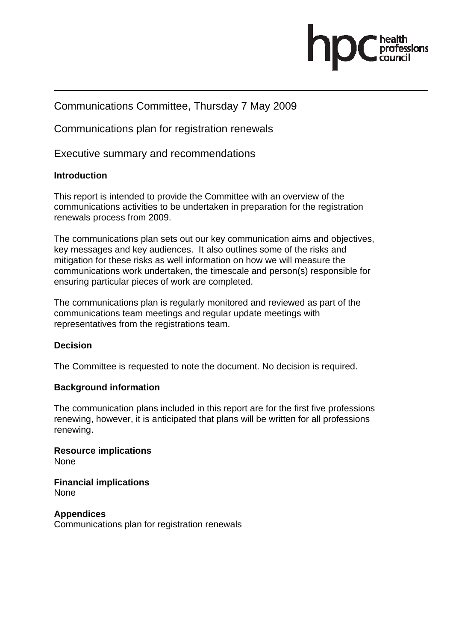

## Communications Committee, Thursday 7 May 2009

Communications plan for registration renewals

Executive summary and recommendations

## **Introduction**

This report is intended to provide the Committee with an overview of the communications activities to be undertaken in preparation for the registration renewals process from 2009.

The communications plan sets out our key communication aims and objectives, key messages and key audiences. It also outlines some of the risks and mitigation for these risks as well information on how we will measure the communications work undertaken, the timescale and person(s) responsible for ensuring particular pieces of work are completed.

The communications plan is regularly monitored and reviewed as part of the communications team meetings and regular update meetings with representatives from the registrations team.

## **Decision**

The Committee is requested to note the document. No decision is required.

## **Background information**

The communication plans included in this report are for the first five professions renewing, however, it is anticipated that plans will be written for all professions renewing.

**Resource implications**  None

**Financial implications**  None

**Appendices**  Communications plan for registration renewals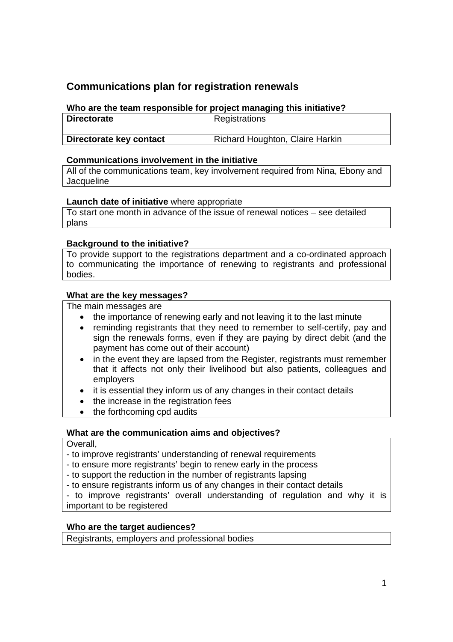# **Communications plan for registration renewals**

## **Who are the team responsible for project managing this initiative?**

| <b>Directorate</b>      | Registrations                   |
|-------------------------|---------------------------------|
| Directorate key contact | Richard Houghton, Claire Harkin |

### **Communications involvement in the initiative**

All of the communications team, key involvement required from Nina, Ebony and **Jacqueline** 

### **Launch date of initiative** where appropriate

To start one month in advance of the issue of renewal notices – see detailed plans

### **Background to the initiative?**

To provide support to the registrations department and a co-ordinated approach to communicating the importance of renewing to registrants and professional bodies.

### **What are the key messages?**

The main messages are

- the importance of renewing early and not leaving it to the last minute
- reminding registrants that they need to remember to self-certify, pay and sign the renewals forms, even if they are paying by direct debit (and the payment has come out of their account)
- in the event they are lapsed from the Register, registrants must remember that it affects not only their livelihood but also patients, colleagues and employers
- it is essential they inform us of any changes in their contact details
- the increase in the registration fees
- the forthcoming cpd audits

#### **What are the communication aims and objectives?**

Overall,

- to improve registrants' understanding of renewal requirements
- to ensure more registrants' begin to renew early in the process
- to support the reduction in the number of registrants lapsing
- to ensure registrants inform us of any changes in their contact details

- to improve registrants' overall understanding of regulation and why it is important to be registered

#### **Who are the target audiences?**

Registrants, employers and professional bodies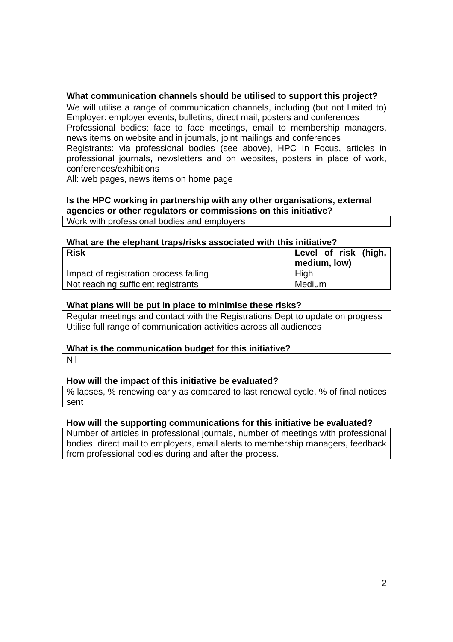### **What communication channels should be utilised to support this project?**

We will utilise a range of communication channels, including (but not limited to) Employer: employer events, bulletins, direct mail, posters and conferences Professional bodies: face to face meetings, email to membership managers, news items on website and in journals, joint mailings and conferences Registrants: via professional bodies (see above), HPC In Focus, articles in professional journals, newsletters and on websites, posters in place of work, conferences/exhibitions

All: web pages, news items on home page

### **Is the HPC working in partnership with any other organisations, external agencies or other regulators or commissions on this initiative?**

Work with professional bodies and employers

#### **What are the elephant traps/risks associated with this initiative?**

| <b>Risk</b>                            | Level of risk (high,<br>medium, low) |
|----------------------------------------|--------------------------------------|
| Impact of registration process failing | High                                 |
| Not reaching sufficient registrants    | Medium                               |

#### **What plans will be put in place to minimise these risks?**

Regular meetings and contact with the Registrations Dept to update on progress Utilise full range of communication activities across all audiences

#### **What is the communication budget for this initiative?**

Nil

#### **How will the impact of this initiative be evaluated?**

% lapses, % renewing early as compared to last renewal cycle, % of final notices sent

#### **How will the supporting communications for this initiative be evaluated?**

Number of articles in professional journals, number of meetings with professional bodies, direct mail to employers, email alerts to membership managers, feedback from professional bodies during and after the process.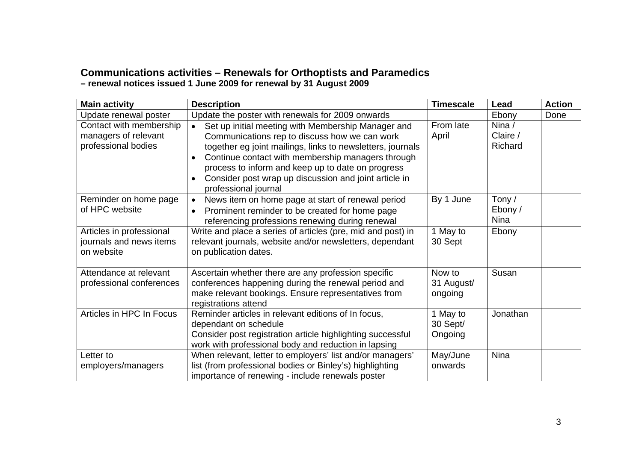# **Communications activities – Renewals for Orthoptists and Paramedics**

**– renewal notices issued 1 June 2009 for renewal by 31 August 2009**

| <b>Main activity</b>                                                   | <b>Description</b>                                                                                                                                                                                                                                                                                                                                                                                  | <b>Timescale</b>                | Lead                             | <b>Action</b> |
|------------------------------------------------------------------------|-----------------------------------------------------------------------------------------------------------------------------------------------------------------------------------------------------------------------------------------------------------------------------------------------------------------------------------------------------------------------------------------------------|---------------------------------|----------------------------------|---------------|
| Update renewal poster                                                  | Update the poster with renewals for 2009 onwards                                                                                                                                                                                                                                                                                                                                                    |                                 | Ebony                            | Done          |
| Contact with membership<br>managers of relevant<br>professional bodies | Set up initial meeting with Membership Manager and<br>$\bullet$<br>Communications rep to discuss how we can work<br>together eg joint mailings, links to newsletters, journals<br>Continue contact with membership managers through<br>$\bullet$<br>process to inform and keep up to date on progress<br>Consider post wrap up discussion and joint article in<br>$\bullet$<br>professional journal | From late<br>April              | Nina /<br>Claire /<br>Richard    |               |
| Reminder on home page<br>of HPC website                                | News item on home page at start of renewal period<br>$\bullet$<br>Prominent reminder to be created for home page<br>referencing professions renewing during renewal                                                                                                                                                                                                                                 | By 1 June                       | Tony /<br>Ebony /<br><b>Nina</b> |               |
| Articles in professional<br>journals and news items<br>on website      | Write and place a series of articles (pre, mid and post) in<br>relevant journals, website and/or newsletters, dependant<br>on publication dates.                                                                                                                                                                                                                                                    | 1 May to<br>30 Sept             | Ebony                            |               |
| Attendance at relevant<br>professional conferences                     | Ascertain whether there are any profession specific<br>conferences happening during the renewal period and<br>make relevant bookings. Ensure representatives from<br>registrations attend                                                                                                                                                                                                           | Now to<br>31 August/<br>ongoing | Susan                            |               |
| Articles in HPC In Focus                                               | Reminder articles in relevant editions of In focus,<br>dependant on schedule<br>Consider post registration article highlighting successful<br>work with professional body and reduction in lapsing                                                                                                                                                                                                  | 1 May to<br>30 Sept/<br>Ongoing | Jonathan                         |               |
| Letter to<br>employers/managers                                        | When relevant, letter to employers' list and/or managers'<br>list (from professional bodies or Binley's) highlighting<br>importance of renewing - include renewals poster                                                                                                                                                                                                                           | May/June<br>onwards             | <b>Nina</b>                      |               |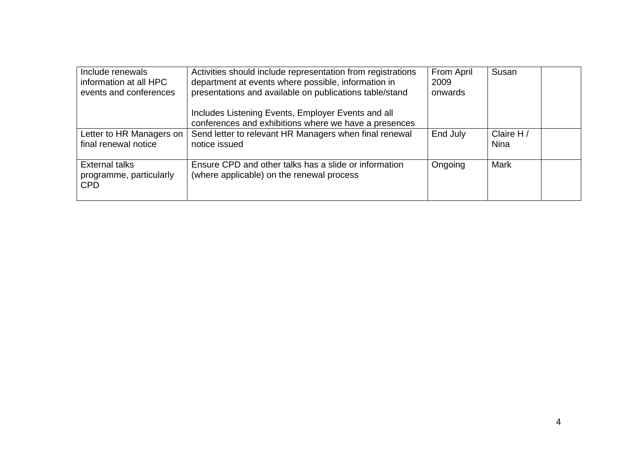| Include renewals<br>information at all HPC<br>events and conferences | Activities should include representation from registrations<br>department at events where possible, information in<br>presentations and available on publications table/stand<br>Includes Listening Events, Employer Events and all | From April<br>2009<br>onwards | Susan              |  |
|----------------------------------------------------------------------|-------------------------------------------------------------------------------------------------------------------------------------------------------------------------------------------------------------------------------------|-------------------------------|--------------------|--|
|                                                                      | conferences and exhibitions where we have a presences                                                                                                                                                                               |                               |                    |  |
| Letter to HR Managers on<br>final renewal notice                     | Send letter to relevant HR Managers when final renewal<br>notice issued                                                                                                                                                             | End July                      | Claire H /<br>Nina |  |
| <b>External talks</b><br>programme, particularly<br><b>CPD</b>       | Ensure CPD and other talks has a slide or information<br>(where applicable) on the renewal process                                                                                                                                  | Ongoing                       | Mark               |  |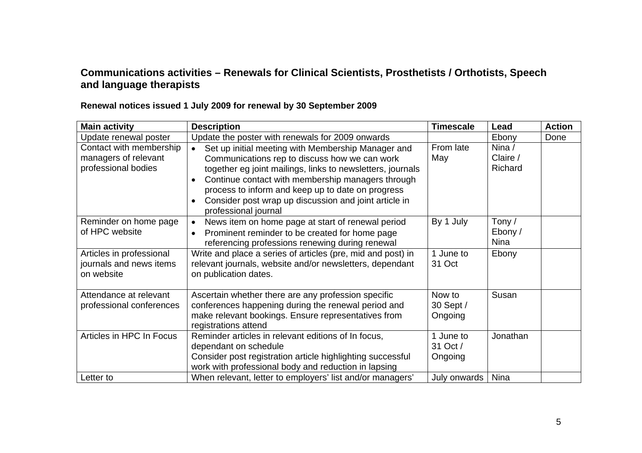## **Communications activities – Renewals for Clinical Scientists, Prosthetists / Orthotists, Speech and language therapists**

| <b>Main activity</b>     | <b>Description</b>                                                                         | <b>Timescale</b> | Lead        | <b>Action</b> |
|--------------------------|--------------------------------------------------------------------------------------------|------------------|-------------|---------------|
| Update renewal poster    | Update the poster with renewals for 2009 onwards                                           |                  | Ebony       | Done          |
| Contact with membership  | Set up initial meeting with Membership Manager and<br>$\bullet$                            | From late        | Nina $/$    |               |
| managers of relevant     | Communications rep to discuss how we can work                                              | May              | Claire /    |               |
| professional bodies      | together eg joint mailings, links to newsletters, journals                                 |                  | Richard     |               |
|                          | Continue contact with membership managers through<br>$\bullet$                             |                  |             |               |
|                          | process to inform and keep up to date on progress                                          |                  |             |               |
|                          | Consider post wrap up discussion and joint article in<br>$\bullet$<br>professional journal |                  |             |               |
| Reminder on home page    | News item on home page at start of renewal period<br>$\bullet$                             | By 1 July        | Tony /      |               |
| of HPC website           | Prominent reminder to be created for home page<br>$\bullet$                                |                  | Ebony /     |               |
|                          | referencing professions renewing during renewal                                            |                  | <b>Nina</b> |               |
| Articles in professional | Write and place a series of articles (pre, mid and post) in                                | 1 June to        | Ebony       |               |
| journals and news items  | relevant journals, website and/or newsletters, dependant                                   | 31 Oct           |             |               |
| on website               | on publication dates.                                                                      |                  |             |               |
|                          |                                                                                            |                  |             |               |
| Attendance at relevant   | Ascertain whether there are any profession specific                                        | Now to           | Susan       |               |
| professional conferences | conferences happening during the renewal period and                                        | 30 Sept /        |             |               |
|                          | make relevant bookings. Ensure representatives from                                        | Ongoing          |             |               |
|                          | registrations attend                                                                       |                  |             |               |
| Articles in HPC In Focus | Reminder articles in relevant editions of In focus,                                        | 1 June to        | Jonathan    |               |
|                          | dependant on schedule                                                                      | 31 Oct /         |             |               |
|                          | Consider post registration article highlighting successful                                 | Ongoing          |             |               |
|                          | work with professional body and reduction in lapsing                                       |                  |             |               |
| Letter to                | When relevant, letter to employers' list and/or managers'                                  | July onwards     | <b>Nina</b> |               |

## **Renewal notices issued 1 July 2009 for renewal by 30 September 2009**